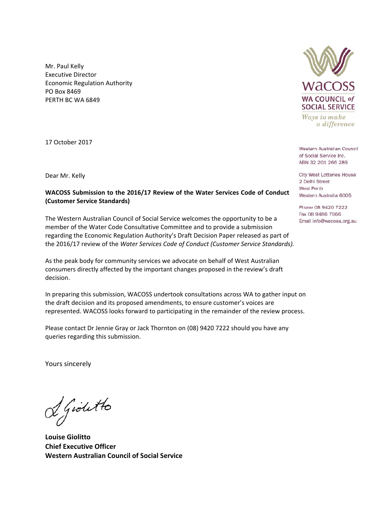Mr. Paul Kelly Executive Director Economic Regulation Authority PO Box 8469 PERTH BC WA 6849

17 October 2017

## **WACOSS Submission to the 2016/17 Review of the Water Services Code of Conduct (Customer Service Standards)**

The Western Australian Council of Social Service welcomes the opportunity to be a member of the Water Code Consultative Committee and to provide a submission regarding the Economic Regulation Authority's Draft Decision Paper released as part of the 2016/17 review of the *Water Services Code of Conduct (Customer Service Standards).* 

As the peak body for community services we advocate on behalf of West Australian consumers directly affected by the important changes proposed in the review's draft decision.

In preparing this submission, WACOSS undertook consultations across WA to gather input on the draft decision and its proposed amendments, to ensure customer's voices are represented. WACOSS looks forward to participating in the remainder of the review process.

Please contact Dr Jennie Gray or Jack Thornton on (08) 9420 7222 should you have any queries regarding this submission.

Yours sincerely

I Giolitto

**Louise Giolitto Chief Executive Officer Western Australian Council of Social Service** 



Ways to make a difference

Western Australian Council of Social Service Inc. ABN 32 201 266 289

**Dear Mr. Kelly** City West Lotteries House<br>
2 Delhi Street<br>
2 Delhi Street West Perth Western Australia 6005

> Phone 08 9420 7222 Fax 08 9486 7966 Email info@wacoss.org.au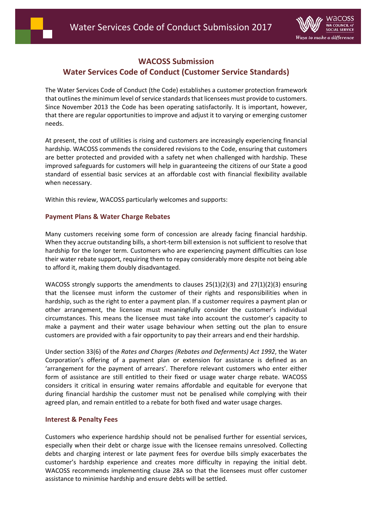

# **WACOSS Submission Water Services Code of Conduct (Customer Service Standards)**

The Water Services Code of Conduct (the Code) establishes a customer protection framework that outlines the minimum level of service standards that licensees must provide to customers. Since November 2013 the Code has been operating satisfactorily. It is important, however, that there are regular opportunities to improve and adjust it to varying or emerging customer needs.

At present, the cost of utilities is rising and customers are increasingly experiencing financial hardship. WACOSS commends the considered revisions to the Code, ensuring that customers are better protected and provided with a safety net when challenged with hardship. These improved safeguards for customers will help in guaranteeing the citizens of our State a good standard of essential basic services at an affordable cost with financial flexibility available when necessary.

Within this review, WACOSS particularly welcomes and supports:

## **Payment Plans & Water Charge Rebates**

Many customers receiving some form of concession are already facing financial hardship. When they accrue outstanding bills, a short-term bill extension is not sufficient to resolve that hardship for the longer term. Customers who are experiencing payment difficulties can lose their water rebate support, requiring them to repay considerably more despite not being able to afford it, making them doubly disadvantaged.

WACOSS strongly supports the amendments to clauses  $25(1)(2)(3)$  and  $27(1)(2)(3)$  ensuring that the licensee must inform the customer of their rights and responsibilities when in hardship, such as the right to enter a payment plan. If a customer requires a payment plan or other arrangement, the licensee must meaningfully consider the customer's individual circumstances. This means the licensee must take into account the customer's capacity to make a payment and their water usage behaviour when setting out the plan to ensure customers are provided with a fair opportunity to pay their arrears and end their hardship.

Under section 33(6) of the *Rates and Charges (Rebates and Deferments) Act 1992*, the Water Corporation's offering of a payment plan or extension for assistance is defined as an 'arrangement for the payment of arrears'. Therefore relevant customers who enter either form of assistance are still entitled to their fixed or usage water charge rebate. WACOSS considers it critical in ensuring water remains affordable and equitable for everyone that during financial hardship the customer must not be penalised while complying with their agreed plan, and remain entitled to a rebate for both fixed and water usage charges.

### **Interest & Penalty Fees**

Customers who experience hardship should not be penalised further for essential services, especially when their debt or charge issue with the licensee remains unresolved. Collecting debts and charging interest or late payment fees for overdue bills simply exacerbates the customer's hardship experience and creates more difficulty in repaying the initial debt. WACOSS recommends implementing clause 28A so that the licensees must offer customer assistance to minimise hardship and ensure debts will be settled.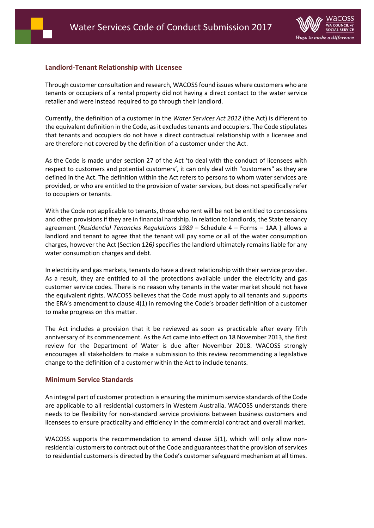# **Landlord‐Tenant Relationship with Licensee**

Through customer consultation and research, WACOSS found issues where customers who are tenants or occupiers of a rental property did not having a direct contact to the water service retailer and were instead required to go through their landlord.

Currently, the definition of a customer in the *Water Services Act 2012* (the Act) is different to the equivalent definition in the Code, as it excludes tenants and occupiers. The Code stipulates that tenants and occupiers do not have a direct contractual relationship with a licensee and are therefore not covered by the definition of a customer under the Act.

As the Code is made under section 27 of the Act 'to deal with the conduct of licensees with respect to customers and potential customers', it can only deal with "customers" as they are defined in the Act. The definition within the Act refers to persons to whom water services are provided, or who are entitled to the provision of water services, but does not specifically refer to occupiers or tenants.

With the Code not applicable to tenants, those who rent will be not be entitled to concessions and other provisions if they are in financial hardship. In relation to landlords, the State tenancy agreement (*Residential Tenancies Regulations 1989* – Schedule 4 – Forms – 1AA ) allows a landlord and tenant to agree that the tenant will pay some or all of the water consumption charges, however the Act (Section 126*)* specifies the landlord ultimately remains liable for any water consumption charges and debt.

In electricity and gas markets, tenants do have a direct relationship with their service provider. As a result, they are entitled to all the protections available under the electricity and gas customer service codes. There is no reason why tenants in the water market should not have the equivalent rights. WACOSS believes that the Code must apply to all tenants and supports the ERA's amendment to clause 4(1) in removing the Code's broader definition of a customer to make progress on this matter.

The Act includes a provision that it be reviewed as soon as practicable after every fifth anniversary of its commencement. As the Act came into effect on 18 November 2013, the first review for the Department of Water is due after November 2018. WACOSS strongly encourages all stakeholders to make a submission to this review recommending a legislative change to the definition of a customer within the Act to include tenants.

# **Minimum Service Standards**

An integral part of customer protection is ensuring the minimum service standards of the Code are applicable to all residential customers in Western Australia. WACOSS understands there needs to be flexibility for non‐standard service provisions between business customers and licensees to ensure practicality and efficiency in the commercial contract and overall market.

WACOSS supports the recommendation to amend clause 5(1), which will only allow nonresidential customers to contract out of the Code and guarantees that the provision of services to residential customers is directed by the Code's customer safeguard mechanism at all times.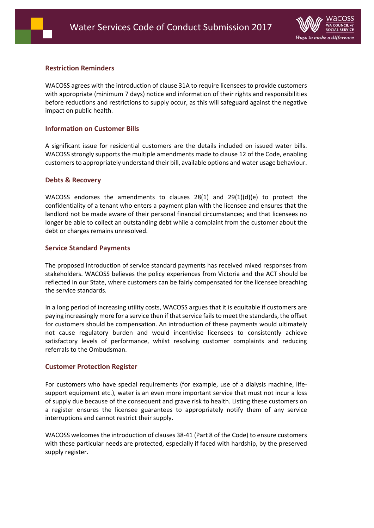

# **Restriction Reminders**

WACOSS agrees with the introduction of clause 31A to require licensees to provide customers with appropriate (minimum 7 days) notice and information of their rights and responsibilities before reductions and restrictions to supply occur, as this will safeguard against the negative impact on public health.

## **Information on Customer Bills**

A significant issue for residential customers are the details included on issued water bills. WACOSS strongly supports the multiple amendments made to clause 12 of the Code, enabling customers to appropriately understand their bill, available options and water usage behaviour.

### **Debts & Recovery**

WACOSS endorses the amendments to clauses  $28(1)$  and  $29(1)(d)(e)$  to protect the confidentiality of a tenant who enters a payment plan with the licensee and ensures that the landlord not be made aware of their personal financial circumstances; and that licensees no longer be able to collect an outstanding debt while a complaint from the customer about the debt or charges remains unresolved.

## **Service Standard Payments**

The proposed introduction of service standard payments has received mixed responses from stakeholders. WACOSS believes the policy experiences from Victoria and the ACT should be reflected in our State, where customers can be fairly compensated for the licensee breaching the service standards.

In a long period of increasing utility costs, WACOSS argues that it is equitable if customers are paying increasingly more for a service then if that service fails to meet the standards, the offset for customers should be compensation. An introduction of these payments would ultimately not cause regulatory burden and would incentivise licensees to consistently achieve satisfactory levels of performance, whilst resolving customer complaints and reducing referrals to the Ombudsman.

### **Customer Protection Register**

For customers who have special requirements (for example, use of a dialysis machine, lifesupport equipment etc.), water is an even more important service that must not incur a loss of supply due because of the consequent and grave risk to health. Listing these customers on a register ensures the licensee guarantees to appropriately notify them of any service interruptions and cannot restrict their supply.

WACOSS welcomes the introduction of clauses 38‐41 (Part 8 of the Code) to ensure customers with these particular needs are protected, especially if faced with hardship, by the preserved supply register.